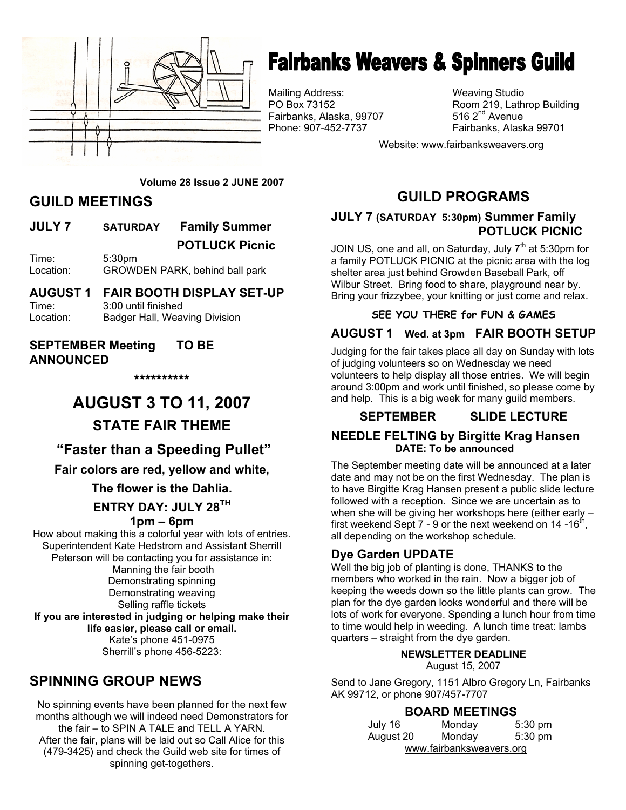

## **Fairbanks Weavers & Spinners Guild**

Mailing Address: Weaving Studio Fairbanks, Alaska, 99707 Phone: 907-452-7737 Fairbanks, Alaska 99701

Room 219, Lathrop Building 516  $2<sup>nd</sup>$  Avenue

Website: www.fairbanksweavers.org

#### **Volume 28 Issue 2 JUNE 2007**

## **GUILD MEETINGS**

**JULY 7 SATURDAY Family Summer POTLUCK Picnic**  Time: 5:30pm

Location: GROWDEN PARK, behind ball park

#### **AUGUST 1 FAIR BOOTH DISPLAY SET-UP**  Time: 3:00 until finished Location: Badger Hall, Weaving Division

#### **SEPTEMBER Meeting TO BE ANNOUNCED**

**\*\*\*\*\*\*\*\*\*\*** 

# **AUGUST 3 TO 11, 2007**

## **STATE FAIR THEME**

## **"Faster than a Speeding Pullet"**

**Fair colors are red, yellow and white,** 

**The flower is the Dahlia.** 

### **ENTRY DAY: JULY 28TH**

#### **1pm – 6pm**

How about making this a colorful year with lots of entries. Superintendent Kate Hedstrom and Assistant Sherrill Peterson will be contacting you for assistance in: Manning the fair booth Demonstrating spinning Demonstrating weaving Selling raffle tickets **If you are interested in judging or helping make their life easier, please call or email.**  Kate's phone 451-0975 Sherrill's phone 456-5223:

## **SPINNING GROUP NEWS**

No spinning events have been planned for the next few months although we will indeed need Demonstrators for the fair – to SPIN A TALE and TELL A YARN. After the fair, plans will be laid out so Call Alice for this (479-3425) and check the Guild web site for times of spinning get-togethers.

## **GUILD PROGRAMS**

#### **JULY 7 (SATURDAY 5:30pm) Summer Family POTLUCK PICNIC**

JOIN US, one and all, on Saturday, July  $7<sup>th</sup>$  at 5:30pm for a family POTLUCK PICNIC at the picnic area with the log shelter area just behind Growden Baseball Park, off Wilbur Street. Bring food to share, playground near by. Bring your frizzybee, your knitting or just come and relax.

#### **SEE YOU THERE for FUN & GAMES**

### **AUGUST 1 Wed. at 3pm FAIR BOOTH SETUP**

Judging for the fair takes place all day on Sunday with lots of judging volunteers so on Wednesday we need volunteers to help display all those entries. We will begin around 3:00pm and work until finished, so please come by and help. This is a big week for many guild members.

## **SEPTEMBER SLIDE LECTURE**

#### **NEEDLE FELTING by Birgitte Krag Hansen DATE: To be announced**

The September meeting date will be announced at a later date and may not be on the first Wednesday. The plan is to have Birgitte Krag Hansen present a public slide lecture followed with a reception. Since we are uncertain as to when she will be giving her workshops here (either early – first weekend Sept 7 - 9 or the next weekend on 14 -16 $<sup>th</sup>$ </sup> all depending on the workshop schedule.

#### **Dye Garden UPDATE**

Well the big job of planting is done, THANKS to the members who worked in the rain. Now a bigger job of keeping the weeds down so the little plants can grow. The plan for the dye garden looks wonderful and there will be lots of work for everyone. Spending a lunch hour from time to time would help in weeding. A lunch time treat: lambs quarters – straight from the dye garden.

#### **NEWSLETTER DEADLINE**

August 15, 2007

Send to Jane Gregory, 1151 Albro Gregory Ln, Fairbanks AK 99712, or phone 907/457-7707

#### **BOARD MEETINGS**

| July 16                  | Monday | $5:30$ pm |  |  |
|--------------------------|--------|-----------|--|--|
| August 20                | Monday | 5:30 pm   |  |  |
| www.fairbanksweavers.org |        |           |  |  |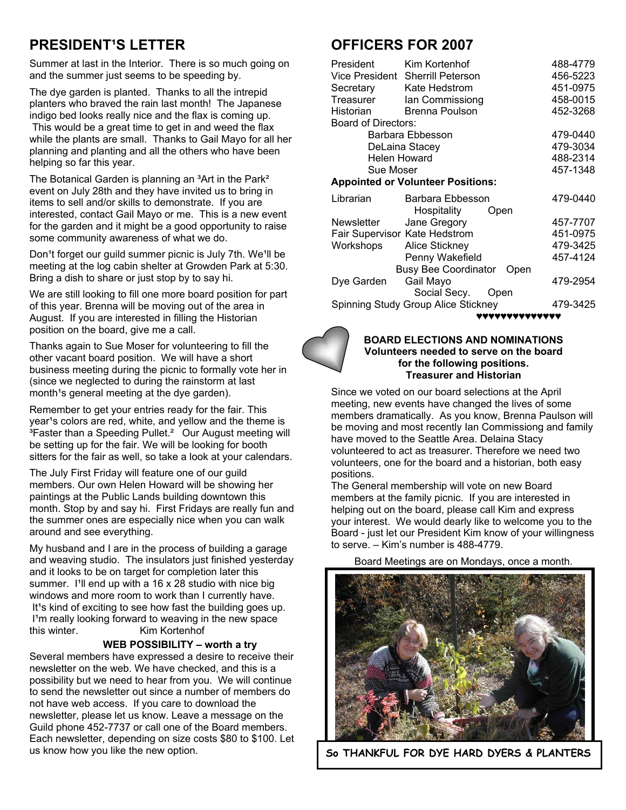## **PRESIDENT'S LETTER**

Summer at last in the Interior. There is so much going on and the summer just seems to be speeding by.

The dye garden is planted. Thanks to all the intrepid planters who braved the rain last month! The Japanese indigo bed looks really nice and the flax is coming up. This would be a great time to get in and weed the flax while the plants are small. Thanks to Gail Mayo for all her planning and planting and all the others who have been helping so far this year.

The Botanical Garden is planning an <sup>3</sup>Art in the Park<sup>2</sup> event on July 28th and they have invited us to bring in items to sell and/or skills to demonstrate. If you are interested, contact Gail Mayo or me. This is a new event for the garden and it might be a good opportunity to raise some community awareness of what we do.

Don<sup>1</sup>t forget our guild summer picnic is July 7th. We<sup>1</sup>ll be meeting at the log cabin shelter at Growden Park at 5:30. Bring a dish to share or just stop by to say hi.

We are still looking to fill one more board position for part of this year. Brenna will be moving out of the area in August. If you are interested in filling the Historian position on the board, give me a call.

Thanks again to Sue Moser for volunteering to fill the other vacant board position. We will have a short business meeting during the picnic to formally vote her in (since we neglected to during the rainstorm at last month<sup>1</sup>s general meeting at the dye garden).

Remember to get your entries ready for the fair. This year<sup>1</sup>s colors are red, white, and yellow and the theme is <sup>3</sup>Faster than a Speeding Pullet.<sup>2</sup> Our August meeting will be setting up for the fair. We will be looking for booth sitters for the fair as well, so take a look at your calendars.

The July First Friday will feature one of our guild members. Our own Helen Howard will be showing her paintings at the Public Lands building downtown this month. Stop by and say hi. First Fridays are really fun and the summer ones are especially nice when you can walk around and see everything.

My husband and I are in the process of building a garage and weaving studio. The insulators just finished yesterday and it looks to be on target for completion later this summer. I'll end up with a 16  $\times$  28 studio with nice big windows and more room to work than I currently have. It<sup>1</sup>s kind of exciting to see how fast the building goes up. I'm really looking forward to weaving in the new space<br>this winter. Kim Kortenhof Kim Kortenhof

#### **WEB POSSIBILITY – worth a try**

Several members have expressed a desire to receive their newsletter on the web. We have checked, and this is a possibility but we need to hear from you. We will continue to send the newsletter out since a number of members do not have web access. If you care to download the newsletter, please let us know. Leave a message on the Guild phone 452-7737 or call one of the Board members. Each newsletter, depending on size costs \$80 to \$100. Let us know how you like the new option.

## **OFFICERS FOR 2007**

| President<br>Secretary                   | Kim Kortenhof<br>Vice President Sherrill Peterson<br>Kate Hedstrom | 488-4779<br>456-5223<br>451-0975 |  |  |
|------------------------------------------|--------------------------------------------------------------------|----------------------------------|--|--|
| Treasurer                                | Ian Commissiong                                                    | 458-0015                         |  |  |
| Historian                                | Brenna Poulson                                                     | 452-3268                         |  |  |
| Board of Directors:                      |                                                                    |                                  |  |  |
| Barbara Ebbesson                         | 479-0440                                                           |                                  |  |  |
| DeLaina Stacey                           | 479-3034                                                           |                                  |  |  |
|                                          | <b>Helen Howard</b>                                                | 488-2314                         |  |  |
| Sue Moser                                |                                                                    | 457-1348                         |  |  |
| <b>Appointed or Volunteer Positions:</b> |                                                                    |                                  |  |  |
| Librarian                                | Barbara Ebbesson<br>Hospitality<br>Open                            | 479-0440                         |  |  |
| Newsletter                               | Jane Gregory                                                       | 457-7707                         |  |  |
|                                          | Fair Supervisor Kate Hedstrom                                      | 451-0975                         |  |  |
| Workshops                                | <b>Alice Stickney</b>                                              | 479-3425                         |  |  |
|                                          | Penny Wakefield                                                    | 457-4124                         |  |  |
|                                          | <b>Busy Bee Coordinator</b><br>Open                                |                                  |  |  |
| Dye Garden                               | Gail Mayo                                                          | 479-2954                         |  |  |
|                                          | Social Secy.<br><b>Open</b>                                        |                                  |  |  |
| Spinning Study Group Alice Stickney      | 479-3425                                                           |                                  |  |  |
|                                          | ,,,,,,,,,,,,,,,                                                    |                                  |  |  |



#### **BOARD ELECTIONS AND NOMINATIONS Volunteers needed to serve on the board for the following positions. Treasurer and Historian**

Since we voted on our board selections at the April meeting, new events have changed the lives of some members dramatically. As you know, Brenna Paulson will be moving and most recently Ian Commissiong and family have moved to the Seattle Area. Delaina Stacy volunteered to act as treasurer. Therefore we need two volunteers, one for the board and a historian, both easy positions.

The General membership will vote on new Board members at the family picnic. If you are interested in helping out on the board, please call Kim and express your interest. We would dearly like to welcome you to the Board - just let our President Kim know of your willingness to serve. – Kim's number is 488-4779.

Board Meetings are on Mondays, once a month.



**So THANKFUL FOR DYE HARD DYERS & PLANTERS**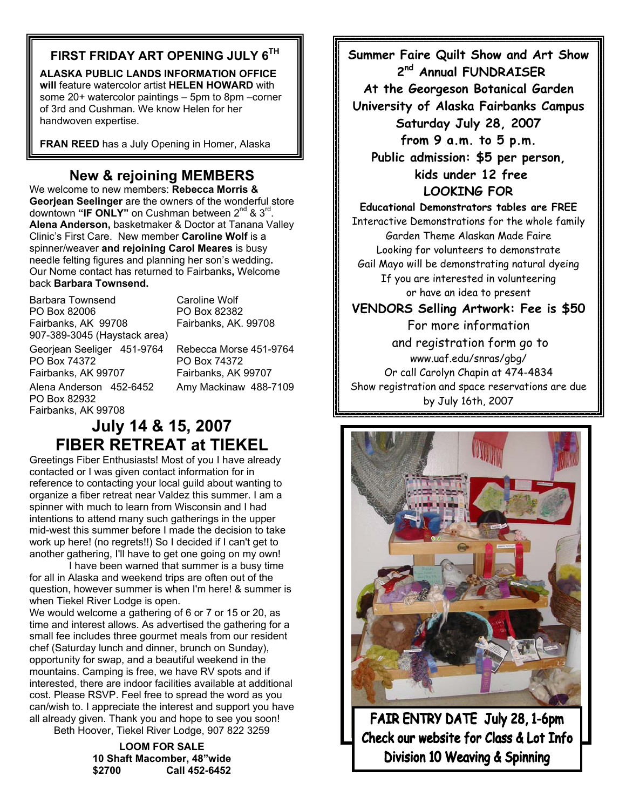## **FIRST FRIDAY ART OPENING JULY 6TH**

**ALASKA PUBLIC LANDS INFORMATION OFFICE will** feature watercolor artist **HELEN HOWARD** with some 20+ watercolor paintings – 5pm to 8pm –corner of 3rd and Cushman. We know Helen for her handwoven expertise.

**FRAN REED** has a July Opening in Homer, Alaska

## **New & rejoining MEMBERS**

We welcome to new members: **Rebecca Morris & Georjean Seelinger** are the owners of the wonderful store downtown "IF ONLY" on Cushman between 2<sup>nd</sup> & 3<sup>rd</sup>. **Alena Anderson,** basketmaker & Doctor at Tanana Valley Clinic's First Care. New member **Caroline Wolf** is a spinner/weaver **and rejoining Carol Meares** is busy needle felting figures and planning her son's wedding**.**  Our Nome contact has returned to Fairbanks**,** Welcome back **Barbara Townsend.** 

Barbara Townsend Caroline Wolf PO Box 82006 PO Box 82382<br>Fairbanks. AK 99708 Fairbanks. AK. 907-389-3045 (Haystack area) Georjean Seeliger 451-9764 Rebecca Morse 451-9764 PO Box 74372 PO Box 74372 Fairbanks, AK 99707 Fairbanks, AK 99707 Alena Anderson 452-6452 Amy Mackinaw 488-7109 PO Box 82932 Fairbanks, AK 99708

Fairbanks, AK. 99708

## **July 14 & 15, 2007 FIBER RETREAT at TIEKEL**

Greetings Fiber Enthusiasts! Most of you I have already contacted or I was given contact information for in reference to contacting your local guild about wanting to organize a fiber retreat near Valdez this summer. I am a spinner with much to learn from Wisconsin and I had intentions to attend many such gatherings in the upper mid-west this summer before I made the decision to take work up here! (no regrets!!) So I decided if I can't get to another gathering, I'll have to get one going on my own!

 I have been warned that summer is a busy time for all in Alaska and weekend trips are often out of the question, however summer is when I'm here! & summer is when Tiekel River Lodge is open.

We would welcome a gathering of 6 or 7 or 15 or 20, as time and interest allows. As advertised the gathering for a small fee includes three gourmet meals from our resident chef (Saturday lunch and dinner, brunch on Sunday), opportunity for swap, and a beautiful weekend in the mountains. Camping is free, we have RV spots and if interested, there are indoor facilities available at additional cost. Please RSVP. Feel free to spread the word as you can/wish to. I appreciate the interest and support you have all already given. Thank you and hope to see you soon! Beth Hoover, Tiekel River Lodge, 907 822 3259

> **LOOM FOR SALE 10 Shaft Macomber, 48"wide \$2700 Call 452-6452**

**Summer Faire Quilt Show and Art Show 2nd Annual FUNDRAISER At the Georgeson Botanical Garden University of Alaska Fairbanks Campus Saturday July 28, 2007 from 9 a.m. to 5 p.m. Public admission: \$5 per person, kids under 12 free LOOKING FOR Educational Demonstrators tables are FREE** 

Interactive Demonstrations for the whole family Garden Theme Alaskan Made Faire Looking for volunteers to demonstrate Gail Mayo will be demonstrating natural dyeing If you are interested in volunteering or have an idea to present

**VENDORS Selling Artwork: Fee is \$50** 

For more information and registration form go to www.uaf.edu/snras/gbg/ Or call Carolyn Chapin at 474-4834 Show registration and space reservations are due by July 16th, 2007



FAIR ENTRY DATE July 28, 1-6pm Check our website for Class & Lot Info Division 10 Weaving & Spinning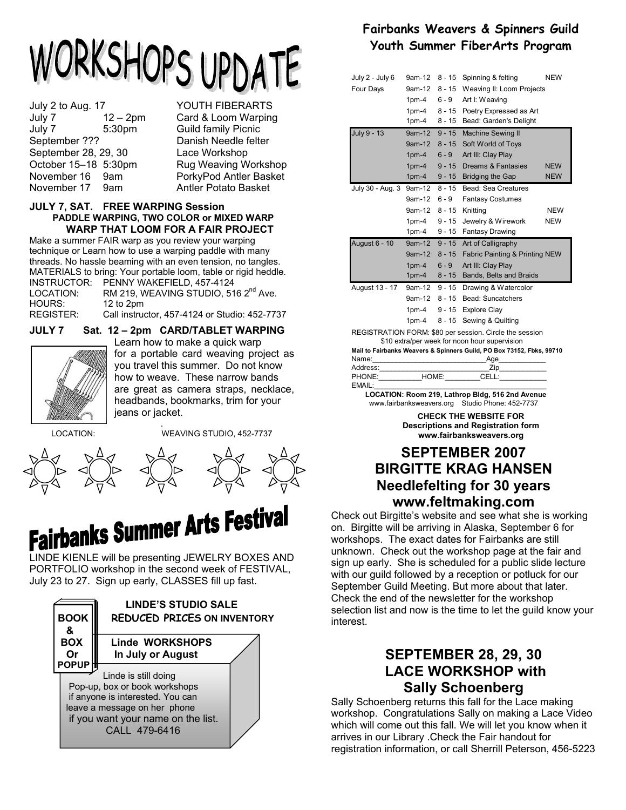# ORKSHOPS UPDATE

July 2 to Aug. 17 YOUTH FIBERARTS July 7 12 – 2pm Card & Loom Warping July 7 5:30pm Guild family Picnic September ??? Danish Needle felter September 28, 29, 30 Lace Workshop October 15–18 5:30pm Rug Weaving Workshop November 16 9am PorkyPod Antler Basket November 17 9am Antler Potato Basket

#### **JULY 7, SAT. FREE WARPING Session PADDLE WARPING, TWO COLOR or MIXED WARP WARP THAT LOOM FOR A FAIR PROJECT**

Make a summer FAIR warp as you review your warping technique or Learn how to use a warping paddle with many threads. No hassle beaming with an even tension, no tangles. MATERIALS to bring: Your portable loom, table or rigid heddle. INSTRUCTOR: PENNY WAKEFIELD, 457-4124 LOCATION: RM 219, WEAVING STUDIO, 516 2<sup>nd</sup> Ave.<br>HOURS: 12 to 2pm

HOURS: 12 to 2pm<br>REGISTER: Call instruc

**JULY 7 Sat. 12 – 2pm CARD/TABLET WARPING** 

Call instructor, 457-4124 or Studio: 452-7737



 Learn how to make a quick warp for a portable card weaving project as you travel this summer. Do not know how to weave. These narrow bands are great as camera straps, necklace, headbands, bookmarks, trim for your jeans or jacket.

. LOCATION: WEAVING STUDIO, 452-7737





# **Fairbanks Summer Arts Festival**

PORTFOLIO workshop in the second week of FESTIVAL, July 23 to 27. Sign up early, CLASSES fill up fast.



## **Fairbanks Weavers & Spinners Guild Youth Summer FiberArts Program**

| July 2 - July 6      | 9am-12   | 8 - 15   | Spinning & felting                                      | <b>NEW</b> |
|----------------------|----------|----------|---------------------------------------------------------|------------|
| Four Days            | 9am-12   | $8 - 15$ | Weaving II: Loom Projects                               |            |
|                      | $1pm-4$  | 6 - 9    | Art I: Weaving                                          |            |
|                      | $1pm-4$  | $8 - 15$ | Poetry Expressed as Art                                 |            |
|                      | $1pm-4$  | $8 - 15$ | Bead: Garden's Delight                                  |            |
| July 9 - 13          | $9am-12$ | $9 - 15$ | <b>Machine Sewing II</b>                                |            |
|                      | $9am-12$ | $8 - 15$ | Soft World of Toys                                      |            |
|                      | $1pm-4$  | $6 - 9$  | Art III: Clay Play                                      |            |
|                      | $1pm-4$  | $9 - 15$ | Dreams & Fantasies                                      | <b>NEW</b> |
|                      | $1pm-4$  | $9 - 15$ | <b>Bridging the Gap</b>                                 | <b>NEW</b> |
| July 30 - Aug. 3     | 9am-12   | $8 - 15$ | Bead: Sea Creatures                                     |            |
|                      | 9am-12   | 6 - 9    | <b>Fantasy Costumes</b>                                 |            |
|                      | 9am-12   | $8 - 15$ | Knittina                                                | <b>NEW</b> |
|                      | $1pm-4$  | $9 - 15$ | Jewelry & Wirework                                      | <b>NEW</b> |
|                      | $1pm-4$  | $9 - 15$ | <b>Fantasy Drawing</b>                                  |            |
| <b>August 6 - 10</b> | 9am-12   | $9 - 15$ | Art of Calligraphy                                      |            |
|                      | $9am-12$ | $8 - 15$ | Fabric Painting & Printing NEW                          |            |
|                      | $1pm-4$  | $6 - 9$  | Art III: Clay Play                                      |            |
|                      | $1pm-4$  | $8 - 15$ | Bands, Belts and Braids                                 |            |
| August 13 - 17       | 9am-12   | $9 - 15$ | Drawing & Watercolor                                    |            |
|                      | 9am-12   | $8 - 15$ | Bead: Suncatchers                                       |            |
|                      | $1pm-4$  | $9 - 15$ | <b>Explore Clay</b>                                     |            |
|                      | $1pm-4$  | $8 - 15$ | Sewing & Quilting                                       |            |
|                      |          |          | REGISTRATION FORM: \$80 per session. Circle the session |            |
|                      |          |          | \$10 extra/per week for noon hour supervision           |            |

**Mail to Fairbanks Weavers & Spinners Guild, PO Box 73152, Fbks, 99710**

|          |       | <b>Mail to Failbally's Weavers &amp; Spilliers Guild, FO BOX 73134, FUNS, 33</b> |  |
|----------|-------|----------------------------------------------------------------------------------|--|
| Name:    |       | Age                                                                              |  |
| Address: |       | Zin                                                                              |  |
| PHONE:   | HOME: | CELL:                                                                            |  |
| EMAIL:   |       |                                                                                  |  |
|          |       | $\overline{1}$ control by an example $\overline{1}$ , the state $\overline{1}$   |  |

 **LOCATION: Room 219, Lathrop Bldg, 516 2nd Avenue** www.fairbanksweavers.org Studio Phone: 452-7737

> **CHECK THE WEBSITE FOR Descriptions and Registration form www.fairbanksweavers.org**

## **SEPTEMBER 2007 BIRGITTE KRAG HANSEN Needlefelting for 30 years www.feltmaking.com**

Check out Birgitte's website and see what she is working on. Birgitte will be arriving in Alaska, September 6 for workshops. The exact dates for Fairbanks are still unknown. Check out the workshop page at the fair and sign up early. She is scheduled for a public slide lecture with our guild followed by a reception or potluck for our September Guild Meeting. But more about that later. Check the end of the newsletter for the workshop selection list and now is the time to let the guild know your interest.

## **SEPTEMBER 28, 29, 30 LACE WORKSHOP with Sally Schoenberg**

Sally Schoenberg returns this fall for the Lace making workshop. Congratulations Sally on making a Lace Video which will come out this fall. We will let you know when it arrives in our Library .Check the Fair handout for registration information, or call Sherrill Peterson, 456-5223